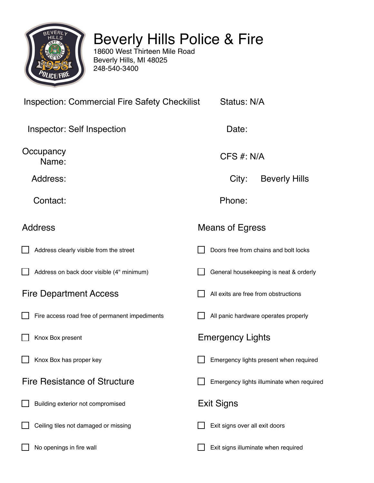

Beverly Hills Police & Fire

18600 West Thirteen Mile Road Beverly Hills, MI 48025 248-540-3400

| <b>Inspection: Commercial Fire Safety Checkilist</b> | Status: N/A                               |
|------------------------------------------------------|-------------------------------------------|
| Inspector: Self Inspection                           | Date:                                     |
| Occupancy<br>Name:                                   | CFS $#: N/A$                              |
| Address:                                             | <b>Beverly Hills</b><br>City:             |
| Contact:                                             | Phone:                                    |
| <b>Address</b>                                       | <b>Means of Egress</b>                    |
| Address clearly visible from the street              | Doors free from chains and bolt locks     |
| Address on back door visible (4" minimum)            | General housekeeping is neat & orderly    |
| <b>Fire Department Access</b>                        | All exits are free from obstructions      |
| Fire access road free of permanent impediments       | All panic hardware operates properly      |
| Knox Box present                                     | <b>Emergency Lights</b>                   |
| Knox Box has proper key                              | Emergency lights present when required    |
| <b>Fire Resistance of Structure</b>                  | Emergency lights illuminate when required |
| Building exterior not compromised                    | <b>Exit Signs</b>                         |
| Ceiling tiles not damaged or missing                 | Exit signs over all exit doors            |
| No openings in fire wall                             | Exit signs illuminate when required       |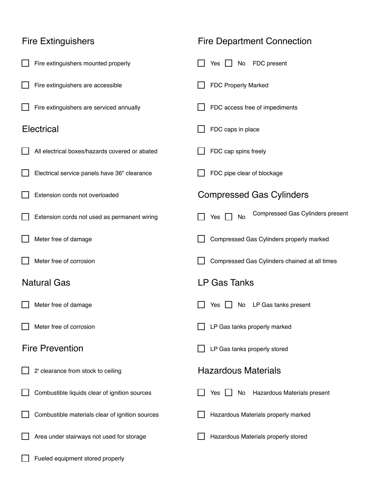## Fire Extinguishers

| <b>Fire Extinguishers</b>                       | <b>Fire Department Connection</b>             |
|-------------------------------------------------|-----------------------------------------------|
| Fire extinguishers mounted properly             | FDC present<br>Yes<br>No                      |
| Fire extinguishers are accessible               | <b>FDC Properly Marked</b>                    |
| Fire extinguishers are serviced annually        | FDC access free of impediments                |
| Electrical                                      | FDC caps in place                             |
| All electrical boxes/hazards covered or abated  | FDC cap spins freely                          |
| Electrical service panels have 36" clearance    | FDC pipe clear of blockage                    |
| Extension cords not overloaded                  | <b>Compressed Gas Cylinders</b>               |
| Extension cords not used as permanent wiring    | Compressed Gas Cylinders present<br>Yes<br>No |
| Meter free of damage                            | Compressed Gas Cylinders properly marked      |
| Meter free of corrosion                         | Compressed Gas Cylinders chained at all times |
| <b>Natural Gas</b>                              | LP Gas Tanks                                  |
| Meter free of damage                            | LP Gas tanks present<br>Yes<br>No             |
| Meter free of corrosion                         | LP Gas tanks properly marked                  |
| <b>Fire Prevention</b>                          | LP Gas tanks properly stored                  |
| 2' clearance from stock to ceiling              | <b>Hazardous Materials</b>                    |
| Combustible liquids clear of ignition sources   | Hazardous Materials present<br>No<br>Yes      |
| Combustible materials clear of ignition sources | Hazardous Materials properly marked           |
| Area under stairways not used for storage       | Hazardous Materials properly stored           |

Fueled equipment stored properly